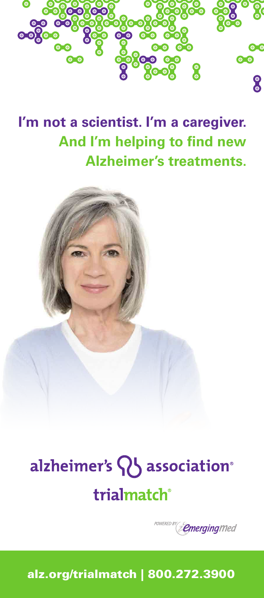

**I'm not a scientist. I'm a caregiver. And I'm helping to find new Alzheimer's treatments.**



# alzheimer's Q association® trialmatch®



alz.org/trialmatch | 800.272.3900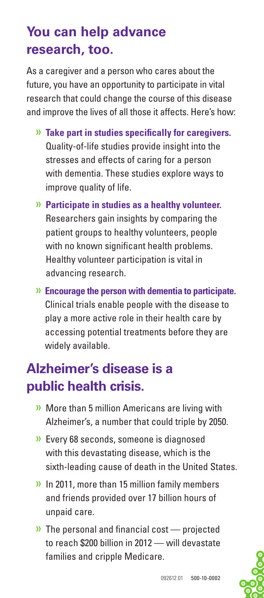## **You can help advance research, too.**

As a caregiver and a person who cares about the future, you have an opportunity to participate in vital research that could change the course of this disease and improve the lives of all those it affects. Here's how:

- » **Take part in studies specifically for caregivers.** Quality-of-life studies provide insight into the stresses and effects of caring for a person with dementia. These studies explore ways to improve quality of life.
- » **Participate in studies as a healthy volunteer.** Researchers gain insights by comparing the patient groups to healthy volunteers, people with no known significant health problems. Healthy volunteer participation is vital in advancing research.
- » **Encourage the person with dementia to participate.** Clinical trials enable people with the disease to play a more active role in their health care by accessing potential treatments before they are widely available.

### **Alzheimer's disease is a public health crisis.**

- » More than 5 million Americans are living with Alzheimer's, a number that could triple by 2050.
- » Every 68 seconds, someone is diagnosed with this devastating disease, which is the sixth-leading cause of death in the United States.
- » In 2011, more than 15 million family members and friends provided over 17 billion hours of unpaid care.
- » The personal and financial cost projected to reach \$200 billion in 2012 — will devastate families and cripple Medicare.

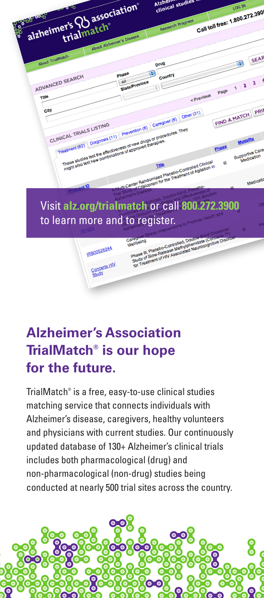

## **Alzheimer's Association TrialMatch® is our hope for the future.**

TrialMatch® is a free, easy-to-use clinical studies matching service that connects individuals with Alzheimer's disease, caregivers, healthy volunteers and physicians with current studies. Our continuously updated database of 130+ Alzheimer's clinical trials includes both pharmacological (drug) and non-pharmacological (non-drug) studies being conducted at nearly 500 trial sites across the country.

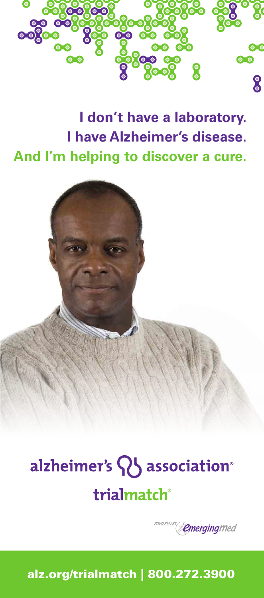

## **I don't have a laboratory. I have Alzheimer's disease. And I'm helping to discover a cure.**



# alzheimer's Q association® trialmatch®



alz.org/trialmatch | 800.272.3900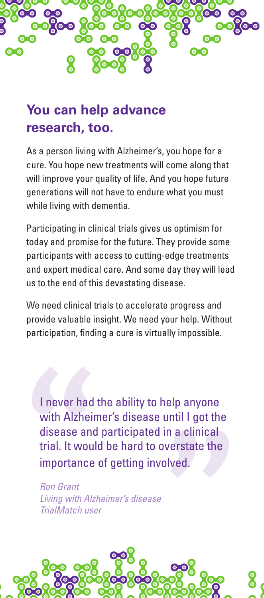

#### **You can help advance research, too.**

As a person living with Alzheimer's, you hope for a cure. You hope new treatments will come along that will improve your quality of life. And you hope future generations will not have to endure what you must while living with dementia.

Participating in clinical trials gives us optimism for today and promise for the future. They provide some participants with access to cutting-edge treatments and expert medical care. And some day they will lead us to the end of this devastating disease.

We need clinical trials to accelerate progress and provide valuable insight. We need your help. Without participation, finding a cure is virtually impossible.

I never had the ability to help anyone with Alzheimer's disease until I got the disease and participated in a clinical trial. It would be hard to overstate the importance of getting involved.

*Ron Grant Living with Alzheimer's disease TrialMatch user*